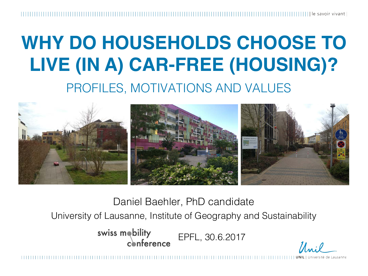le savoir vivant l

### **WHY DO HOUSEHOLDS CHOOSE TO LIVE (IN A) CAR-FREE (HOUSING)?** PROFILES, MOTIVATIONS AND VALUES



Daniel Baehler, PhD candidate

University of Lausanne, Institute of Geography and Sustainability

swiss mobility EPFL, 30.6.2017  $coherence$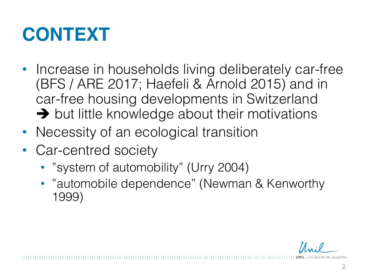## **CONTEXT**

- Increase in households living deliberately car-free (BFS / ARE 2017; Haefeli & Arnold 2015) and in car-free housing developments in Switzerland  $\rightarrow$  but little knowledge about their motivations
- Necessity of an ecological transition
- Car-centred society
	- "system of automobility" (Urry 2004)
	- "automobile dependence" (Newman & Kenworthy 1999)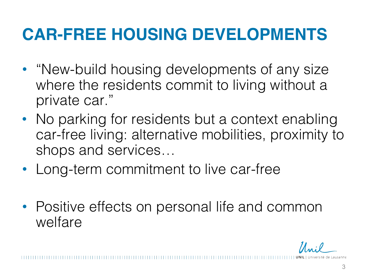#### **CAR-FREE HOUSING DEVELOPMENTS**

- "New-build housing developments of any size where the residents commit to living without a private car."
- No parking for residents but a context enabling car-free living: alternative mobilities, proximity to shops and services…
- Long-term commitment to live car-free
- Positive effects on personal life and common welfare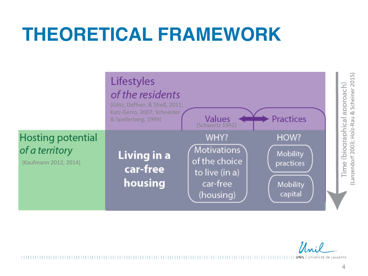#### **THEORETICAL FRAMEWORK**



 $\mathcal{U}$  ... : 0

Université de Lausanne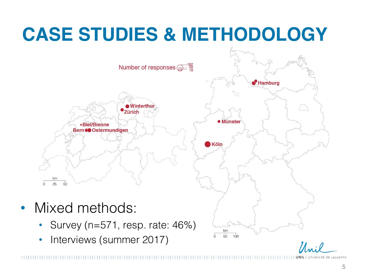# **CASE STUDIES & METHODOLOGY**



iiversité de Lausanne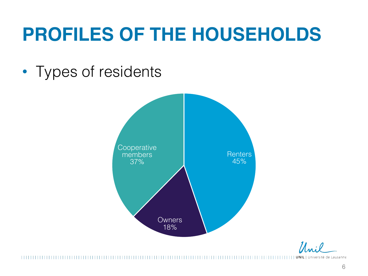### **PROFILES OF THE HOUSEHOLDS**

• Types of residents



 $\mathcal{U}$  of  $\ell$ 

**UNIL** | Université de Lausanne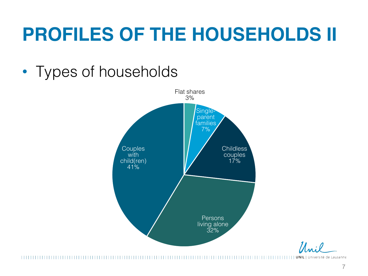## **PROFILES OF THE HOUSEHOLDS II**

#### • Types of households



 $\mathcal{U}$  of  $\ell$ 

**UNIL** | Université de Lausanne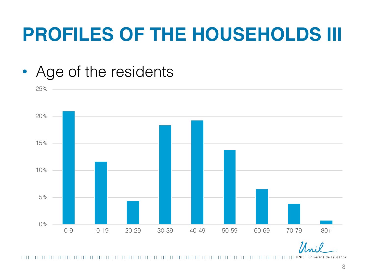### **PROFILES OF THE HOUSEHOLDS III**





| UNIL | Université de Lausanne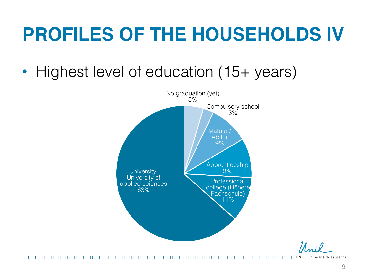### **PROFILES OF THE HOUSEHOLDS IV**

• Highest level of education (15+ years)



**UNIL** | Université de Lausanne ,,,,,,,,,,,,,,,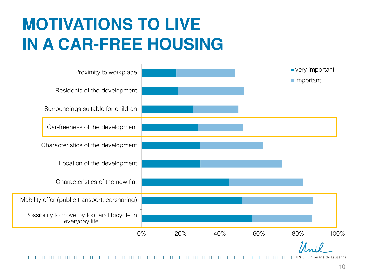#### **MOTIVATIONS TO LIVE IN A CAR-FREE HOUSING**



Université de Lausanne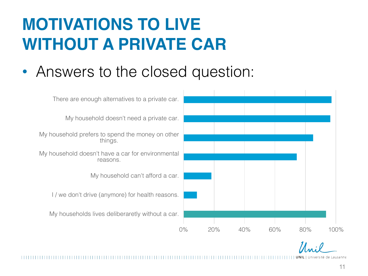#### **MOTIVATIONS TO LIVE WITHOUT A PRIVATE CAR**

• Answers to the closed question:



Université de Lausanne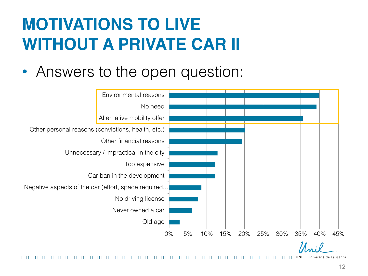#### **MOTIVATIONS TO LIVE WITHOUT A PRIVATE CAR II**

• Answers to the open question:



Jniversité de Lausanne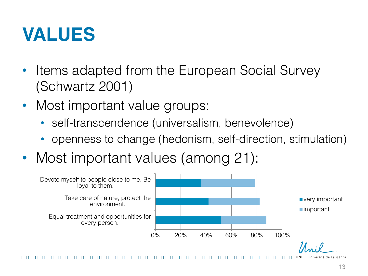

- Items adapted from the European Social Survey (Schwartz 2001)
- Most important value groups:
	- self-transcendence (universalism, benevolence)
	- openness to change (hedonism, self-direction, stimulation)
- Most important values (among 21):



Iniversité de Lausanne